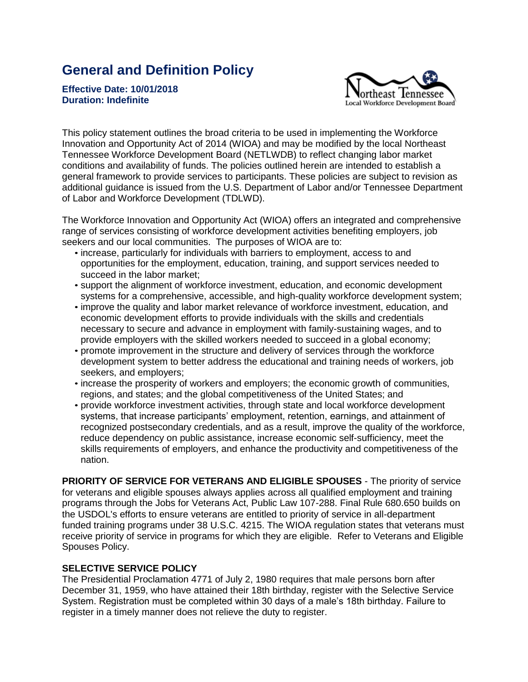## **General and Definition Policy**

**Effective Date: 10/01/2018 Duration: Indefinite** 



This policy statement outlines the broad criteria to be used in implementing the Workforce Innovation and Opportunity Act of 2014 (WIOA) and may be modified by the local Northeast Tennessee Workforce Development Board (NETLWDB) to reflect changing labor market conditions and availability of funds. The policies outlined herein are intended to establish a general framework to provide services to participants. These policies are subject to revision as additional guidance is issued from the U.S. Department of Labor and/or Tennessee Department of Labor and Workforce Development (TDLWD).

The Workforce Innovation and Opportunity Act (WIOA) offers an integrated and comprehensive range of services consisting of workforce development activities benefiting employers, job seekers and our local communities. The purposes of WIOA are to:

- increase, particularly for individuals with barriers to employment, access to and opportunities for the employment, education, training, and support services needed to succeed in the labor market;
- support the alignment of workforce investment, education, and economic development systems for a comprehensive, accessible, and high-quality workforce development system;
- improve the quality and labor market relevance of workforce investment, education, and economic development efforts to provide individuals with the skills and credentials necessary to secure and advance in employment with family-sustaining wages, and to provide employers with the skilled workers needed to succeed in a global economy;
- promote improvement in the structure and delivery of services through the workforce development system to better address the educational and training needs of workers, job seekers, and employers;
- increase the prosperity of workers and employers; the economic growth of communities, regions, and states; and the global competitiveness of the United States; and
- provide workforce investment activities, through state and local workforce development systems, that increase participants' employment, retention, earnings, and attainment of recognized postsecondary credentials, and as a result, improve the quality of the workforce, reduce dependency on public assistance, increase economic self-sufficiency, meet the skills requirements of employers, and enhance the productivity and competitiveness of the nation.

**PRIORITY OF SERVICE FOR VETERANS AND ELIGIBLE SPOUSES** - The priority of service for veterans and eligible spouses always applies across all qualified employment and training programs through the Jobs for Veterans Act, Public Law 107-288. Final Rule 680.650 builds on the USDOL's efforts to ensure veterans are entitled to priority of service in all-department funded training programs under 38 U.S.C. 4215. The WIOA regulation states that veterans must receive priority of service in programs for which they are eligible. Refer to Veterans and Eligible Spouses Policy.

## **SELECTIVE SERVICE POLICY**

The Presidential Proclamation 4771 of July 2, 1980 requires that male persons born after December 31, 1959, who have attained their 18th birthday, register with the Selective Service System. Registration must be completed within 30 days of a male's 18th birthday. Failure to register in a timely manner does not relieve the duty to register.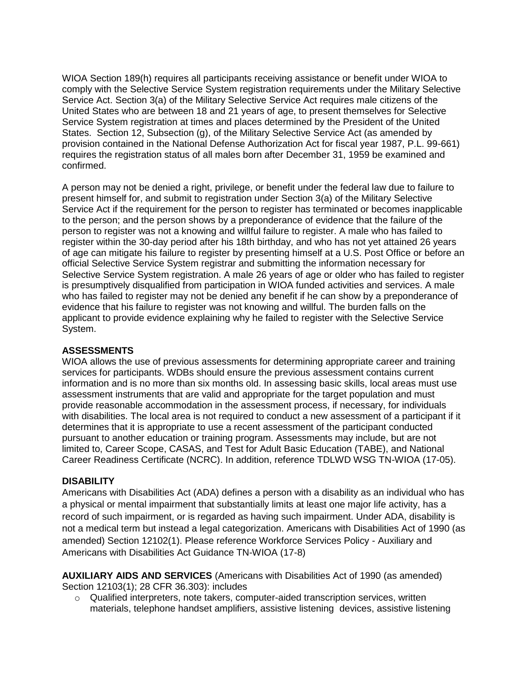WIOA Section 189(h) requires all participants receiving assistance or benefit under WIOA to comply with the Selective Service System registration requirements under the Military Selective Service Act. Section 3(a) of the Military Selective Service Act requires male citizens of the United States who are between 18 and 21 years of age, to present themselves for Selective Service System registration at times and places determined by the President of the United States. Section 12, Subsection (g), of the Military Selective Service Act (as amended by provision contained in the National Defense Authorization Act for fiscal year 1987, P.L. 99-661) requires the registration status of all males born after December 31, 1959 be examined and confirmed.

A person may not be denied a right, privilege, or benefit under the federal law due to failure to present himself for, and submit to registration under Section 3(a) of the Military Selective Service Act if the requirement for the person to register has terminated or becomes inapplicable to the person; and the person shows by a preponderance of evidence that the failure of the person to register was not a knowing and willful failure to register. A male who has failed to register within the 30-day period after his 18th birthday, and who has not yet attained 26 years of age can mitigate his failure to register by presenting himself at a U.S. Post Office or before an official Selective Service System registrar and submitting the information necessary for Selective Service System registration. A male 26 years of age or older who has failed to register is presumptively disqualified from participation in WIOA funded activities and services. A male who has failed to register may not be denied any benefit if he can show by a preponderance of evidence that his failure to register was not knowing and willful. The burden falls on the applicant to provide evidence explaining why he failed to register with the Selective Service System.

## **ASSESSMENTS**

WIOA allows the use of previous assessments for determining appropriate career and training services for participants. WDBs should ensure the previous assessment contains current information and is no more than six months old. In assessing basic skills, local areas must use assessment instruments that are valid and appropriate for the target population and must provide reasonable accommodation in the assessment process, if necessary, for individuals with disabilities. The local area is not required to conduct a new assessment of a participant if it determines that it is appropriate to use a recent assessment of the participant conducted pursuant to another education or training program. Assessments may include, but are not limited to, Career Scope, CASAS, and Test for Adult Basic Education (TABE), and National Career Readiness Certificate (NCRC). In addition, reference TDLWD WSG TN-WIOA (17-05).

## **DISABILITY**

Americans with Disabilities Act (ADA) defines a person with a disability as an individual who has a physical or mental impairment that substantially limits at least one major life activity, has a record of such impairment, or is regarded as having such impairment. Under ADA, disability is not a medical term but instead a legal categorization. Americans with Disabilities Act of 1990 (as amended) Section 12102(1). Please reference Workforce Services Policy - Auxiliary and Americans with Disabilities Act Guidance TN-WIOA (17-8)

**AUXILIARY AIDS AND SERVICES** (Americans with Disabilities Act of 1990 (as amended) Section 12103(1); 28 CFR 36.303): includes

 $\circ$  Qualified interpreters, note takers, computer-aided transcription services, written materials, telephone handset amplifiers, assistive listening devices, assistive listening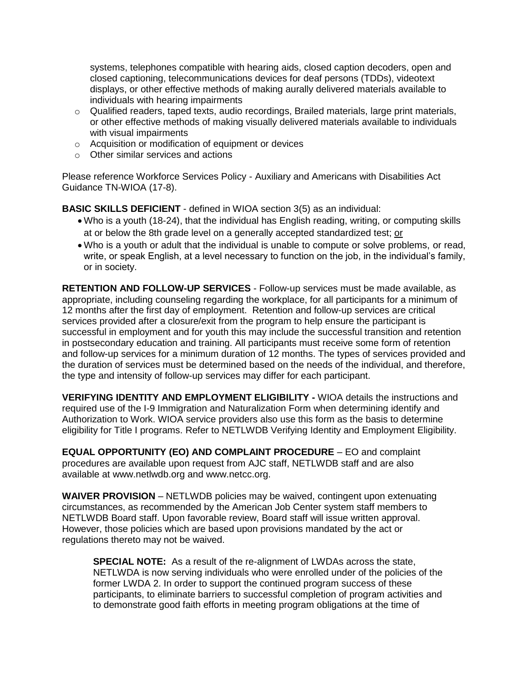systems, telephones compatible with hearing aids, closed caption decoders, open and closed captioning, telecommunications devices for deaf persons (TDDs), videotext displays, or other effective methods of making aurally delivered materials available to individuals with hearing impairments

- $\circ$  Qualified readers, taped texts, audio recordings, Brailed materials, large print materials, or other effective methods of making visually delivered materials available to individuals with visual impairments
- o Acquisition or modification of equipment or devices
- o Other similar services and actions

Please reference Workforce Services Policy - Auxiliary and Americans with Disabilities Act Guidance TN-WIOA (17-8).

**BASIC SKILLS DEFICIENT** - defined in WIOA section 3(5) as an individual:

- Who is a youth (18-24), that the individual has English reading, writing, or computing skills at or below the 8th grade level on a generally accepted standardized test; or
- Who is a youth or adult that the individual is unable to compute or solve problems, or read, write, or speak English, at a level necessary to function on the job, in the individual's family, or in society.

**RETENTION AND FOLLOW-UP SERVICES** - Follow-up services must be made available, as appropriate, including counseling regarding the workplace, for all participants for a minimum of 12 months after the first day of employment. Retention and follow-up services are critical services provided after a closure/exit from the program to help ensure the participant is successful in employment and for youth this may include the successful transition and retention in postsecondary education and training. All participants must receive some form of retention and follow-up services for a minimum duration of 12 months. The types of services provided and the duration of services must be determined based on the needs of the individual, and therefore, the type and intensity of follow-up services may differ for each participant.

**VERIFYING IDENTITY AND EMPLOYMENT ELIGIBILITY -** WIOA details the instructions and required use of the I-9 Immigration and Naturalization Form when determining identify and Authorization to Work. WIOA service providers also use this form as the basis to determine eligibility for Title I programs. Refer to NETLWDB Verifying Identity and Employment Eligibility.

**EQUAL OPPORTUNITY (EO) AND COMPLAINT PROCEDURE** – EO and complaint procedures are available upon request from AJC staff, NETLWDB staff and are also available at [www.netlwdb.org](http://www.netlwdb.org/) and [www.netcc.org.](http://www.netcc.org/)

**WAIVER PROVISION** – NETLWDB policies may be waived, contingent upon extenuating circumstances, as recommended by the American Job Center system staff members to NETLWDB Board staff. Upon favorable review, Board staff will issue written approval. However, those policies which are based upon provisions mandated by the act or regulations thereto may not be waived.

**SPECIAL NOTE:** As a result of the re-alignment of LWDAs across the state, NETLWDA is now serving individuals who were enrolled under of the policies of the former LWDA 2. In order to support the continued program success of these participants, to eliminate barriers to successful completion of program activities and to demonstrate good faith efforts in meeting program obligations at the time of